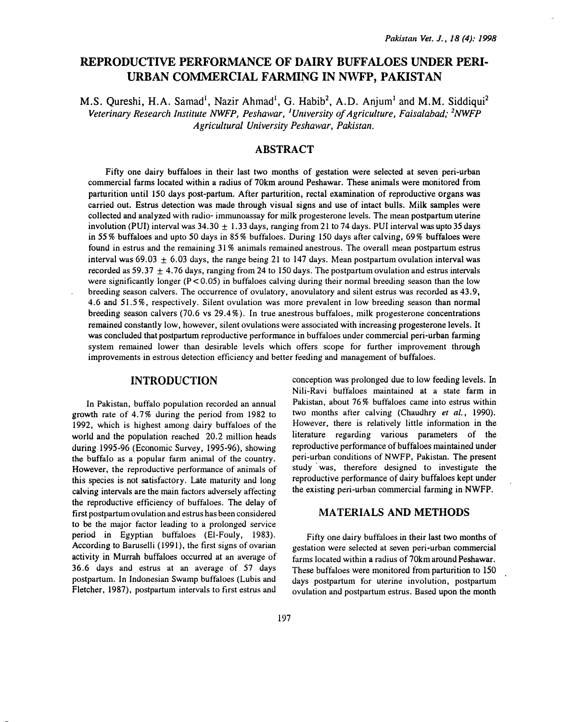# REPRODUCTIVE PERFORMANCE OF DAIRY BUFFALOES UNDER PERI-URBAN COMMERCIAL FARMING IN NWFP, PAKISTAN

M.S. Qureshi, H.A. Samad<sup>1</sup>, Nazir Ahmad<sup>1</sup>, G. Habib<sup>2</sup>, A.D. Anjum<sup>1</sup> and M.M. Siddiqui<sup>2</sup> Veterinary Research Institute NWFP, Peshawar, <sup>1</sup>University of Agriculture, Faisalabad; <sup>2</sup>NWFP Agricultural University Peshawar, Pakistan.

# ABSTRACT

Fifty one dairy buffaloes in their last two months of gestation were selected at seven peri-urban commercial farms located within a radius of 70km around Peshawar. These animals were monitored from parturition until 150 days post-partum. After parturition, rectal examination of reproductive organs was carried out. Estrus detection was made through visual signs and use of intact bulls. Milk samples were collected and analyzed with radio- immunoassay for milk progesterone levels. The mean postpartum uterine involution (PUI) interval was  $34.30 + 1.33$  days, ranging from 21 to 74 days. PUI interval was upto 35 days in 55% buffaloes and upto 50 days in 85% buffaloes. During 150 days after calving, 69% buffaloes were found in estrus and the remaining 31% animals remained anestrous. The overall mean postpartum estrus interval was  $69.03 \pm 6.03$  days, the range being 21 to 147 days. Mean postpartum ovulation interval was recorded as 59.37  $\pm$  4.76 days, ranging from 24 to 150 days. The postpartum ovulation and estrus intervals were significantly longer  $(P < 0.05)$  in buffaloes calving during their normal breeding season than the low breeding season calvers. The occurrence of ovulatory, anovulatory and silent estrus was recorded as 43.9, 4.6 and 51.5%, respectively. Silent ovulation was more prevalent in low breeding season than normal breeding season calvers (70.6 vs 29.4% ). In true anestrous buffaloes, milk progesterone concentrations remained constantly low, however, silent ovulations were associated with increasing progesterone levels. It was concluded that postpartum reproductive performance in buffaloes under commercial peri-urban farming system remained lower than desirable levels which offers scope for further improvement through improvements in estrous detection efficiency and better feeding and management of buffaloes.

### INTRODUCTION

In Pakistan, buffalo population recorded an annual growth rate of 4.7% during the period from 1982 to 1992, which is highest among dairy buffaloes of the world and the population reached 20.2 million heads during 1995-96 (Economic Survey, 1995-96), showing the buffalo as a popular farm animal of the country. However, the reproductive performance of animals of this species is not satisfactory. Late maturity and long calving intervals are the main factors adversely affecting the reproductive efficiency of buffaloes. The delay of first postpartum ovulation and estrus has been considered to be the major factor leading to a prolonged service period in Egyptian buffaloes (El-Fouly, 1983). According to Baruselli (1991), the first signs of ovarian activity in Murrah buffaloes occurred at an average of 36.6 days and estrus at an average of 57 days postpartum. In Indonesian Swamp buffaloes (Lubis and Fletcher, 1987), postpartum intervals to first estrus and

conception was prolonged due to low feeding levels. In Nili-Ravi buffaloes maintained at a state farm in Pakistan, about 76% buffaloes came into estrus within two months after calving (Chaudhry et al., 1990). However, there is relatively little information in the literature regarding various parameters of the reproductive performance of buffaloes maintained under peri-urban conditions of NWFP, Pakistan. The present study was, therefore designed to investigate the reproductive performance of dairy buffaloes kept under the existing peri-urban commercial fanning in NWFP.

#### MATERIALS AND METHODS

Fifty one dairy buffaloes in their last two months of gestation were selected at seven peri-urban commercial farms located within a radius of 70km around Peshawar. These buffaloes were monitored from parturition to 150 days postpartum for uterine involution, postpartum ovulation and postpartum estrus. Based upon the month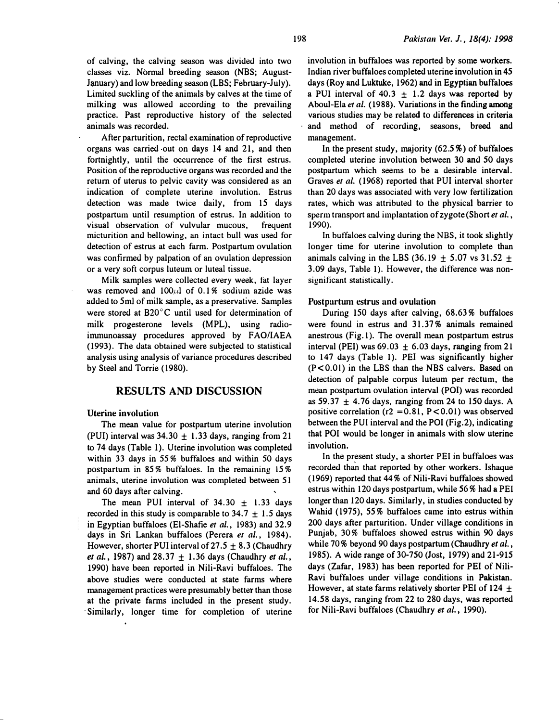of calving, the calving season was divided into two classes viz. Normal breeding season (NBS; August-January) and low breeding season (LBS; February-July). Limited suckling of the animals by calves at the time of milking was allowed according to the prevailing practice. Past reproductive history of the selected animals was recorded.

After parturition, rectal examination of reproductive organs was carried out on days 14 and 21, and then fortnightly, until the occurrence of the first estrus. Position of the reproductive organs was recorded and the return of uterus to pelvic cavity was considered as an indication of complete uterine involution. Estrus detection was made twice daily, from 15 days postpartum until resumption of estrus. In addition to visual observation of vulvular mucous, frequent micturition and bellowing, an intact bull was used for detection of estrus at each farm. Postpartum ovulation was confirmed by palpation of an ovulation depression or a very soft corpus luteum or luteal tissue.

Milk samples were collected every week, fat layer was removed and  $100 \mu l$  of 0.1% sodium azide was added to Sml of milk sample, as a preservative. Samples were stored at B20°C until used for determination of milk progesterone levels (MPL), using radioimmunoassay procedures approved by FAO/IAEA (1993). The data obtained were subjected to statistical analysis using analysis of variance procedures described by Steel and Torrie (1980).

# RESULTS AND DISCUSSION

#### Uterine involution

The mean value for postpartum uterine involution (PUI) interval was  $34.30 \pm 1.33$  days, ranging from 21 to 74 days (Table 1). Uterine involution was completed within 33 days in 55% buffaloes and within 50 days postpartum in 85% buffaloes. In the remaining 15% animals, uterine involution was completed between 51 and 60 days after calving.

The mean PUI interval of  $34.30 \pm 1.33$  days recorded in this study is comparable to  $34.7 \pm 1.5$  days in Egyptian buffaloes (El-Shafie et al., 1983) and 32.9 days in Sri Lankan buffaloes (Perera et al., 1984). However, shorter PUI interval of  $27.5 \pm 8.3$  (Chaudhry et al., 1987) and  $28.37 + 1.36$  days (Chaudhry et al., 1990) have been reported in Nili-Ravi buffaloes. The above studies were conducted at state farms where management practices were presumably better than those at the private farms included in the present study. Similarly, longer time for completion of uterine involution in buffaloes was reported by some workers. Indian river buffaloes completed uterine involution in 45 days (Roy and Luktuke, 1962) and in Egyptian buffaloes a PUI interval of 40.3  $\pm$  1.2 days was reported by Aboul-Ela et al. (1988). Variations in the finding among various studies may be related to differences in criteria and method of recording, seasons, breed and management.

In the present study, majority  $(62.5\%)$  of buffaloes completed uterine involution between 30 and 50 days postpartum which seems to be a desirable interval. Graves et al. ( 1968) reported that PUI interval shorter than 20 days was associated with very low fertilization rates, which was attributed to the physical barrier to sperm transport and implantation of zygote (Short et al., 1990).

In buffaloes calving during the NBS, it took slightly longer time for uterine involution to complete than animals calving in the LBS (36.19  $\pm$  5.07 vs 31.52  $\pm$ 3.09 days, Table 1). However, the difference was nonsignificant statistically.

#### Postpartwn estrus and ovulation

During ISO days after calving, 68.63% buffaloes were found in estrus and 31.37% animals remained anestrous (Fig.1 ). The overall mean postpartum estrus interval (PEI) was  $69.03 \pm 6.03$  days, ranging from 21 to 147 days (Table 1). PEl was significantly higher  $(P<0.01)$  in the LBS than the NBS calvers. Based on detection of palpable corpus luteum per rectum, the mean postpartum ovulation interval (POI) was recorded as  $59.37 \pm 4.76$  days, ranging from 24 to 150 days. A positive correlation ( $r2 = 0.81$ ,  $P < 0.01$ ) was observed between the PUI interval and the POI (Fig.2), indicating that POI would be longer in animals with slow uterine involution.

In the present study, a shorter PEl in buffaloes was recorded than that reported by other workers. Ishaque (1969) reported that 44% of Nili-Ravi buffaloes showed estrus within 120 days postpartum, while 56% had a PEl longer than 120 days. Similarly, in studies conducted by Wahid (1975), 55% buffaloes came into estrus within 200 days after parturition. Under village conditions in Punjab, 30% buffaloes showed estrus within 90 days while 70% beyond 90 days postpartum (Chaudhry et al., 1985). A wide range of 30-750 (Jost, 1979) and 21-915 days (Zafar, 1983) has been reported for PEl of Nili-Ravi buffaloes under village conditions in Pakistan. However, at state farms relatively shorter PEI of 124  $\pm$ 14.58 days, ranging from 22 to 280 days, was reported for Nili-Ravi buffaloes (Chaudhry et al., 1990).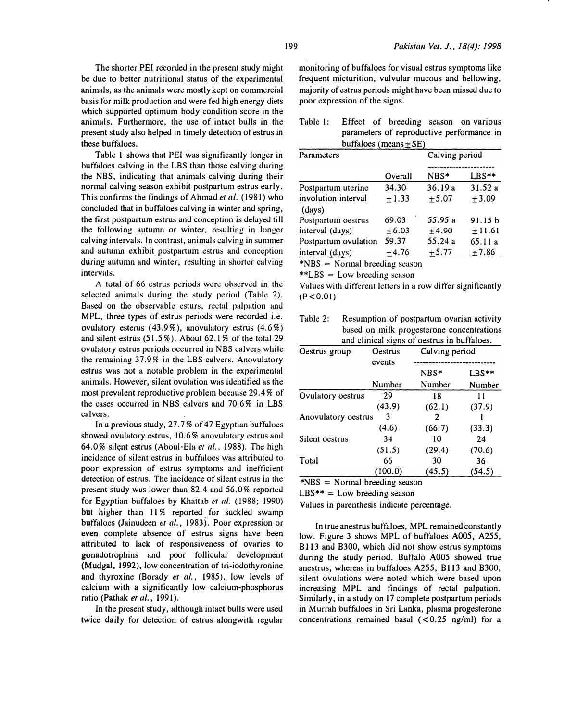The shorter PEI recorded in the present study might be due to better nutritional status of the experimental animals, as the animals were mostly kept on commercial basis for milk production and were fed high energy diets which supported optimum body condition score in the animals. Furthermore, the use of intact bulls in the present stuuy also helped in timely detection of estrus in these buffaloes.

Table 1 shows that PEl was significantly longer in buffaloes calving in the LBS than those calving during the NBS, indicating that animals calving during their normal calving season exhibit postpartum estrus early. This confirms the findings of Ahmad et al. (1981) who concluded that in buffaloes calving in winter and spring, the tirst postpartum estrus and conception is delayed till the following autumn or winter, resulting in longer calving intervals. In contrast, animals calving in summer and autumn exhibit postpartum estrus and conception during autumn and winter, resulting in shorter calving intervals.

A total of 66 estrus periods were observed in the selected animals during the study period (Table 2). Based on the observable esturs, rectal palpation and MPL, three types of estrus periods were recorded i.e. ovulatory esterus  $(43.9\%)$ , anovulatory estrus  $(4.6\%)$ and silent estrus  $(51.5\%)$ . About 62.1% of the total 29 ovuhdory estrus periods occurred in NBS ca1vers while the remaining 37.9% in the LBS calvers. Anovulatory estrus was not a notable problem in the experimental animals. However, silent ovulation was identified as the most prevalent reproductive problem because 29.4% of the cases occurred in NBS calvers and 70.6% in LBS calvers.

In a previous study,  $27.7\%$  of 47 Egyptian buffaloes showed ovulatory estrus, 10.6% anovulatory estrus and 64.0% silent estrus (Aboul-Ela et al., 1988). The high incidence of silent estrus in buffaloes was attributed to poor expression of estrus symptoms and inefticient detection of estrus. The incidence of silent estrus in the present study was lower than 82.4 and 56.0% reported for Egyptian buffaloes by Khattab et al. (1988; 1990) but higher than 11% reported for suckled swamp buffaloes (Jainudeen et al., 1983). Poor expression or even complete absence of estrus signs have been attributed to lack of responsiveness of ovaries to gonadotrophins and poor follicular development (Mudgal, 1992), low concentration of tri-iodothyronine and thyroxine (Borady et al., 1985), low levels of calcium with a significantly low calcium-phosphorus ratio (Pathak et al., 1991).

In the present study, although intact bulls were used twice daily for detection of estrus alongwith regular monitoring of buffaloes for visual estrus symptoms like frequent micturition, vulvular mucous and bellowing, majority of estrus periods might have been missed due to poor expression of the signs.

| Table 1: Effect of breeding season on various |                            |  |                                           |  |  |  |  |
|-----------------------------------------------|----------------------------|--|-------------------------------------------|--|--|--|--|
|                                               |                            |  | parameters of reproductive performance in |  |  |  |  |
|                                               | buffaloes (means $\pm$ SE) |  |                                           |  |  |  |  |

| Parameters                    |         |         | Calving period |  |
|-------------------------------|---------|---------|----------------|--|
|                               |         |         |                |  |
|                               | Overall | NBS*    | LBS**          |  |
| Postpartum uterine            | 34.30   | 36.19a  | 31.52a         |  |
| involution interval<br>(days) | $+1.33$ | $+5.07$ | $\pm 3.09$     |  |
| Postpartum oestrus            | 69.03   | 55.95 a | 91.15 b        |  |
| interval (days)               | $+6.03$ | $+4.90$ | ±11.61         |  |
| Postpartum ovulation          | 59.37   | 55.24 a | 65.11 a        |  |
| interval (days)               | ±4.76   | ±5.77   | ±7.86          |  |

\*NBS = Normal breeding season

\*\*LBS = Low breeding season

Values with different letters in a row differ significantly  $(P < 0.01)$ 

Table 2: Resumption of postpartum ovarian activity based on milk progesterone concentrations and clinical signs of oestrus in buffaloes.

| Oestrus group       | Oestrus<br>events | Calving period |        |  |
|---------------------|-------------------|----------------|--------|--|
|                     |                   | NBS*           | LBS**  |  |
|                     | Number            | Number         | Number |  |
| Ovulatory oestrus   | 29                | 18             | 11     |  |
|                     | (43.9)            | (62.1)         | (37.9) |  |
| Anovulatory oestrus | 3                 | 2              |        |  |
|                     | (4.6)             | (66.7)         | (33.3) |  |
| Silent oestrus      | 34                | 10             | 24     |  |
|                     | (51.5)            | (29.4)         | (70.6) |  |
| Total               | 66                | 30             | 36     |  |
|                     | (100.0)           | (45.5)         | (54.5) |  |

\*NBS = Normal breeding season

 $LBS^{**} = Low breeding season$ 

Values in parenthesis indicate percentage.

In true anestrus buffaloes, MPL remained constantly low. Figure 3 shows MPL of buffaloes AOOS, A255, B113 and B300, which did not show estrus symptoms during the study period. Buffalo A005 showed true anestrus, whereas in buffaloes A255, B113 and B300, silent ovulations were noted which were based upon increasing MPL and findings of rectal palpation. Similarly, in a study on 17 complete postpartum periods in Murrah buffaloes in Sri Lanka, plasma progesterone concentrations remained basal  $(< 0.25$  ng/ml) for a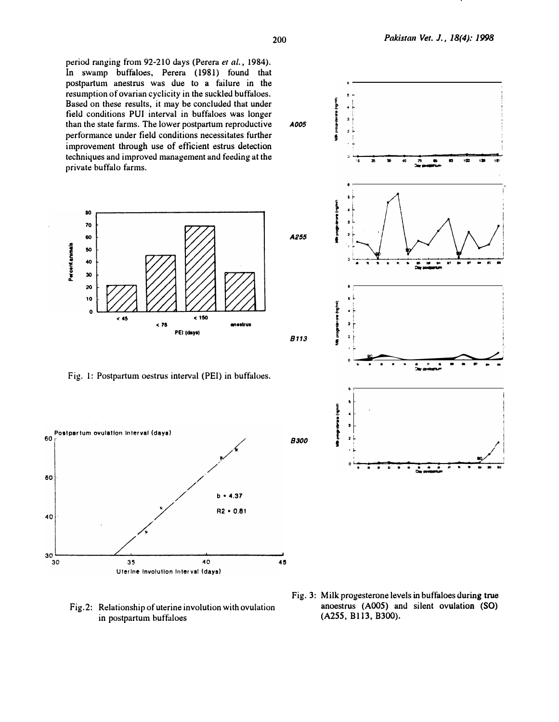period ranging from 92-210 days (Perera et al., 1984). In swamp buffaloes, Perera (1981) found that postpartum anestrus was due to a failure in the resumption of ovarian cyclicity in the suckled buffaloes. Based on these results, it may be concluded that under field conditions PUI interval in buffaloes was longer than the state farms. The lower postpartum reproductive performance under field conditions necessitates further improvement through use of efficient estrus detection techniques and improved management and feeding at the private buffalo farms.



Fig. 1: Postpartum oestrus interval (PEI) in buffaloes.



Fig.2: Relationship of uterine involution with ovulation in postpartum buffaloes

Fig. 3: Milk progesterone levels in buffaloes during true anoestrus (A005) and silent ovulation (SO)  $(A255, B113, B300).$ 

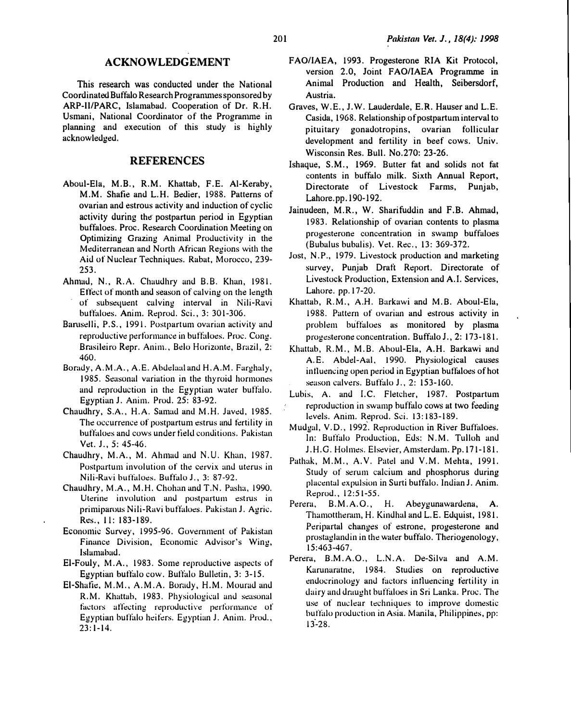### ACKNOWLEDGEMENT

This research was conducted under the National Coordinated Buffalo Research Progranunes sponsored by ARP-11/PARC, Islamabad. Cooperation of Dr. R.H. Usmani, National Coordinator of the Progranune in planning and execution of this study is highly acknowledged.

# REFERENCES

- Aboui-Eia, M.B., R.M. Khattab, F.E. AI-Keraby, M.M. Shafie and L.H. Bedier, 1988. Patterns of ovarian and estrous activity and induction of cyclic activity during the postpartun period in Egyptian buffaloes. Proc. Research Coordination Meeting on Optimizing Grazing Animal Productivity in the Mediterranean and North African Regions with the Aid of N<sup>u</sup>cl<sup>e</sup>ar Techniq<sup>u</sup>es. Rabat, Morocco, 239- 253.
- Ahmad, N., R.A. Chaudhry and B.B. Khan, 1981. Effect of month and season of calving on the length of subsequent calving interval in Nili-Ravi buffaloes. Anim. Reprod. Sci., 3: 301-306.
- Baruselli, P.S., 1991. Postpartum ovarian activity and reproductive performance in buffaloes. Proc. Cong. Brasileiro Repr. Anim., Belo Horizonte, Brazil, 2: 460.
- Borady, A.M.A., A.E. Abdelaal and H.A.M. Farghaly, 1985. Seasonal variation in the thyroid hormones and reproduction in the Egyptian water buffalo. Egypti<sup>a</sup>n J. Anim. Prod. 25: 83-92.
- Chaudhry, S.A., H.A. Samad and M.H. Javed, 1985. The occurrence of postpartum estrus and fertility in buffaloes and cows under field conditions. Pakistan Vet. J., 5: 45-46.
- Chaudhry, M.A., M. Ahmad and N.U. Khan, 1987. Postpartum involution of the cervix and uterus in Nili-Ravi buffaloes. Buffalo J., 3: 87-92.
- Chaudhry, M.A., M.H. Chohan and T.N. Pasha, 1990. Uterine involution and postpartum estrus in primiparous Nili-Ravi buffaloes. Pakistan J. Agric. Res., Jl: 183-189.
- Economic Survey, 1995-96. Government of Pakistun Finance Division, Economic Advisor's Wing, Islamabad.
- El-Fouly, M.A., 1983. Some reproductive aspects of Egyptian buffalo cow. Buffalo Bulletin, 3: 3-15.
- El-Shafie, M.M., A.M.A. Borady, H.M. Mourad and R.M. Khattab, 1983. Physiological and seasonal factors affecting reproductive performance of Egyptian buffalo heifers. Egyptian J. Anim. Prod., 23:1-14.
- FAO/IAEA, 1993. Progesterone RIA Kit Protocol, version 2.0, Joint FAO/IAEA Programme in Animal Production and Health, Seibersdorf, Austria.
- Graves, W.E., J.W. Lauderdale, E.R. Hauser and L.E. Casida, 1968. Relationship of postpartum interval to pituitary gonadotropins, ovarian follicular development and fertility in beef cows. Univ. Wisconsin Res. Bull. No.270: 23-26.
- Ishaque, S.M., 1969. Butter fat and solids not fat contents in buffalo milk. Sixth Annual Report, Directorate of Livestock Farms, Punjab, Lahore.pp. 190- 192.
- Jainudeen, M.R., W. Sharifuddin and F.B. Ahmad, 1983. Relationship of ovarian contents to plasma progesterone concentration in swamp buffaloes (Bubalus bubalis). Vet. Rec., 13: 369-372.
- Jost, N.P., 1979. Livestock production and marketing survey, Punjab Draft R<sup>e</sup>port. Directorate of Livestock Production, Extension and A.l. Services, Lah<sup>o</sup>re. pp.l7-20.
- Khattab, R.M., A.H. Burkawi and M.B. Aboui-El<sup>a</sup>, 1988. Pattern of ovarian and estrous activity in problem buffaloes as monitored by plasma progesterone concentration. Buffalo J., 2: 173-181.
- Khattab, R.M., M.B. Aboul-Ela, A.H. Barkawi and. A.E. Abdel-Aal, 1990. Physiological causes intluencing open period in Egyptian buftaloes of hot season calvers. Buftalo J., 2: 153-160.
- Lubis, A. and I.C. Fletcher, 1987. Postpartum <sup>r</sup>eproduction in <sup>s</sup>wamp buffalo cows at two feeding levels. Anim. Reprod. Sci. 13:183-189.
- Mudgal, V.D., 1992. Reproduction in River Buffaloes. In: Buffalo Production, Eds: N.M. Tulloh and J.H.G. Holmes. Elsevier, Amsterdam. Pp.171-181.
- Pathak, M.M., A.V. Putel and V.M. Mehta, 1991. Study of serum calcium and phosphorus during <sup>p</sup>lacentul expulsion in Surti buffalo. Indian J. Anim. Reprod., 12:51-55.
- Perera, B.M.A.O., H. Abeygunawardena, A. Thamottheram, H. Kindhal and L.E. Edquist, 1981. P<sup>e</sup>ripartal changes of estrone, progesterone and prostaglandin in the water buffalo. Theriogenology, 15:463-467.
- Perera, B.M.A.O., L.N.A. De-Silva and A.M. Karunaratne, 1984. Studies on reproductive endocrinology and factors influencing fertility in dairy and draught buffaloes in Sri Lanka. Proc. The use of nuclear techniques to improve domestic butfalo production in Asia. Manila, Philippines, pp: 13-28.